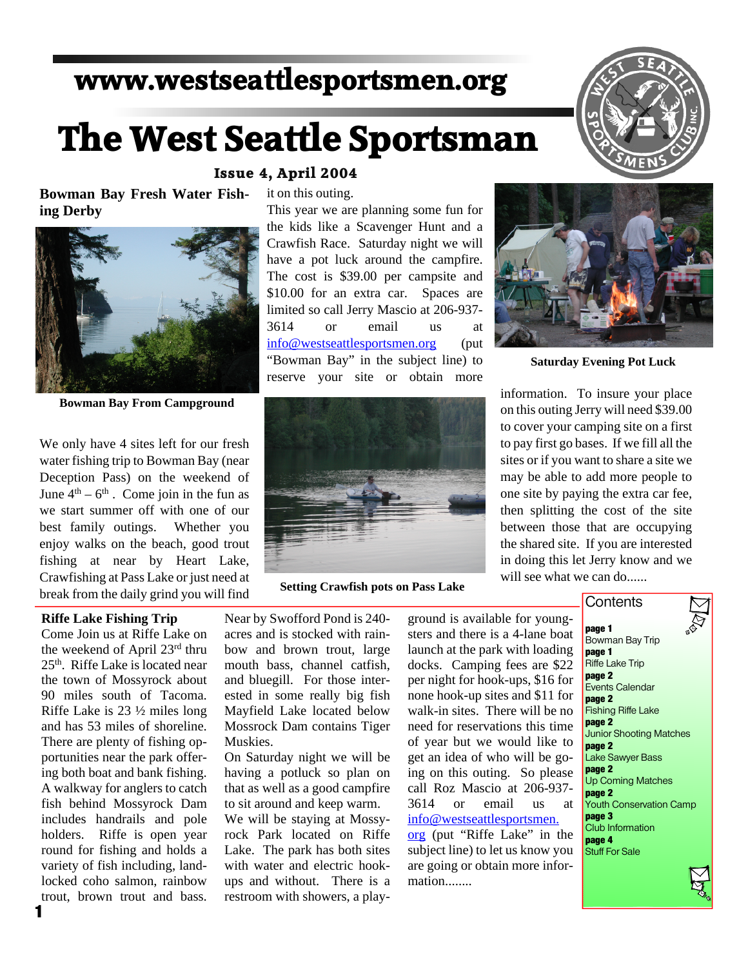## **www.westseattlesportsmen.org**

# **The West Seattle Sportsman**

**Bowman Bay Fresh Water Fish ing Derby**



**Bowman Bay From Campground**

We only have 4 sites left for our fresh water fishing trip to Bowman Bay (near Deception Pass) on the weekend of June  $4<sup>th</sup> - 6<sup>th</sup>$ . Come join in the fun as we start summer off with one of our best family outings. Whether you enjoy walks on the beach, good trout fishing at near by Heart Lake, Crawfishing at Pass Lake or just need at break from the daily grind you will find

#### **Riffe Lake Fishing Trip**

**1** Come Join us at Riffe Lake on the weekend of April 23rd thru 25th. Riffe Lake is located near the town of Mossyrock about 90 miles south of Tacoma. Riffe Lake is 23 ½ miles long and has 53 miles of shoreline. There are plenty of fishing op portunities near the park offer ing both boat and bank fishing. A walkway for anglers to catch fish behind Mossyrock Dam includes handrails and pole holders. Riffe is open year round for fishing and holds a variety of fish including, land locked coho salmon, rainbow trout, brown trout and bass.

#### **Issue 4, April 2004**

it on this outing.

This year we are planning some fun for the kids like a Scavenger Hunt and a Crawfish Race. Saturday night we will have a pot luck around the campfire. The cost is \$39.00 per campsite and \$10.00 for an extra car. Spaces are limited so call Jerry Mascio at 206-937- 3614 or email us at info@westseattlesportsmen.org (put "Bowman Bay" in the subject line) to reserve your site or obtain more



**Setting Crawfish pots on Pass Lake**

Near by Swofford Pond is 240 acres and is stocked with rain bow and brown trout, large mouth bass, channel catfish, and bluegill. For those inter ested in some really big fish Mayfield Lake located below Mossrock Dam contains Tiger Muskies.

On Saturday night we will be having a potluck so plan on that as well as a good campfire to sit around and keep warm. We will be staying at Mossy rock Park located on Riffe Lake. The park has both sites with water and electric hook ups and without. There is a restroom with showers, a playground is available for young sters and there is a 4-lane boat launch at the park with loading docks. Camping fees are \$22 per night for hook-ups, \$16 for none hook-up sites and \$11 for walk-in sites. There will be no need for reservations this time of year but we would like to get an idea of who will be go ing on this outing. So please call Roz Mascio at 206-937- 3614 or email us at info@westseattlesportsmen. org (put "Riffe Lake" in the subject line) to let us know you are going or obtain more infor-

mation........





**Saturday Evening Pot Luck**

information. To insure your place on this outing Jerry will need \$39.00 to cover your camping site on a first to pay first go bases. If we fill all the sites or if you want to share a site we may be able to add more people to one site by paying the extra car fee, then splitting the cost of the site between those that are occupying the shared site. If you are interested in doing this let Jerry know and we will see what we can do......

#### **Contents**

**page 1** Bowman Bay Trip **page 1** Riffe Lake Trip **page 2** Events Calendar **page 2** Fishing Riffe Lake **page 2** Junior Shooting Matches **page 2** Lake Sawyer Bass **page 2** Up Coming Matches **page 2** Youth Conservation Camp **page 3** Club Information **page 4** Stuff For Sale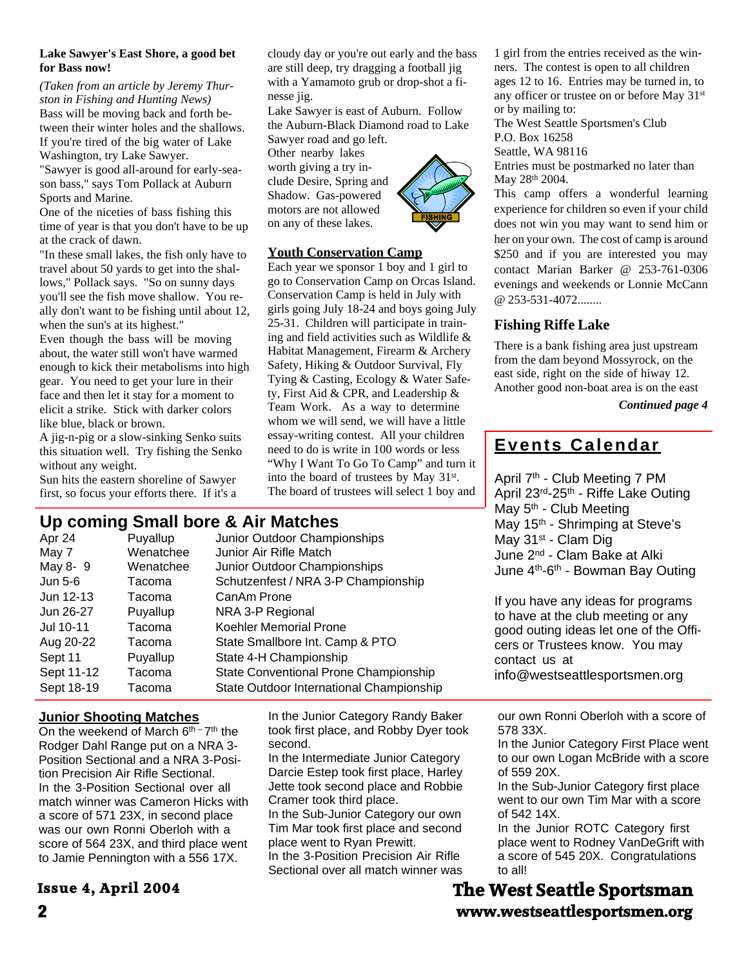#### **Lake Sawyer's East Shore, a good bet for Bass now!**

*(Taken from an article by Jeremy Thur ston in Fishing and Hunting News)* Bass will be moving back and forth be tween their winter holes and the shallows. If you're tired of the big water of Lake Washington, try Lake Sawyer. "Sawyer is good all-around for early-sea-

son bass," says Tom Pollack at Auburn Sports and Marine.

One of the niceties of bass fishing this time of year is that you don't have to be up at the crack of dawn.

"In these small lakes, the fish only have to travel about 50 yards to get into the shal lows," Pollack says. "So on sunny days you'll see the fish move shallow. You re ally don't want to be fishing until about 12, when the sun's at its highest."

Even though the bass will be moving about, the water still won't have warmed enough to kick their metabolisms into high gear. You need to get your lure in their face and then let it stay for a moment to elicit a strike. Stick with darker colors like blue, black or brown.

A jig-n-pig or a slow-sinking Senko suits this situation well. Try fishing the Senko without any weight.

Sun hits the eastern shoreline of Sawyer first, so focus your efforts there. If it's a

cloudy day or you're out early and the bass are still deep, try dragging a football jig with a Yamamoto grub or drop-shot a fi nesse jig.

Lake Sawyer is east of Auburn. Follow the Auburn-Black Diamond road to Lake Sawyer road and go left.

Other nearby lakes worth giving a try in clude Desire, Spring and Shadow. Gas-powered motors are not allowed on any of these lakes.

#### **Youth Conservation Camp**

Each year we sponsor 1 boy and 1 girl to go to Conservation Camp on Orcas Island. Conservation Camp is held in July with girls going July 18-24 and boys going July 25-31. Children will participate in train ing and field activities such as Wildlife & Habitat Management, Firearm & Archery Safety, Hiking & Outdoor Survival, Fly Tying & Casting, Ecology & Water Safe ty, First Aid & CPR, and Leadership & Team Work. As a way to determine whom we will send, we will have a little essay-writing contest. All your children need to do is write in 100 words or less "Why I Want To Go To Camp" and turn it into the board of trustees by May 31st. The board of trustees will select 1 boy and

|                                                                                                                                            | Up coming Small bore & Air Matches | May 5 <sup>th</sup> - Club Meeting<br>May 15 <sup>th</sup> - Shrimping at Steve's |                                                                           |                                                           |  |
|--------------------------------------------------------------------------------------------------------------------------------------------|------------------------------------|-----------------------------------------------------------------------------------|---------------------------------------------------------------------------|-----------------------------------------------------------|--|
| Apr 24                                                                                                                                     | Puyallup                           |                                                                                   | Junior Outdoor Championships                                              | May 31 <sup>st</sup> - Clam Dig                           |  |
| May 7                                                                                                                                      | Wenatchee                          |                                                                                   | Junior Air Rifle Match                                                    | June 2 <sup>nd</sup> - Clam Bake at Alki                  |  |
| May 8-9                                                                                                                                    | Wenatchee                          |                                                                                   | Junior Outdoor Championships                                              | June 4 <sup>th</sup> -6 <sup>th</sup> - Bowman Bay Outing |  |
| Jun 5-6<br>Tacoma                                                                                                                          |                                    |                                                                                   | Schutzenfest / NRA 3-P Championship                                       |                                                           |  |
| Jun 12-13                                                                                                                                  | Tacoma                             | CanAm Prone                                                                       |                                                                           | If you have any ideas for programs                        |  |
| Jun 26-27                                                                                                                                  | Puyallup                           |                                                                                   | NRA 3-P Regional                                                          | to have at the club meeting or any                        |  |
| Jul 10-11                                                                                                                                  | Tacoma                             |                                                                                   | Koehler Memorial Prone                                                    | good outing ideas let one of the Offi-                    |  |
| Aug 20-22<br>Tacoma                                                                                                                        |                                    |                                                                                   | State Smallbore Int. Camp & PTO                                           | cers or Trustees know. You may                            |  |
| Sept 11                                                                                                                                    | Puyallup                           |                                                                                   | State 4-H Championship                                                    | contact us at                                             |  |
| Sept 11-12<br>Tacoma                                                                                                                       |                                    |                                                                                   | State Conventional Prone Championship                                     | info@westseattlesportsmen.org                             |  |
| Sept 18-19<br>Tacoma                                                                                                                       |                                    |                                                                                   | State Outdoor International Championship                                  |                                                           |  |
|                                                                                                                                            | <u>Junior Shooting Matches</u>     |                                                                                   | In the Junior Category Randy Baker                                        | our own Ronni Oberloh with a score of                     |  |
| On the weekend of March 6 <sup>th -</sup> 7 <sup>th</sup> the<br>Rodger Dahl Range put on a NRA 3-<br>Position Sectional and a NRA 3-Posi- |                                    |                                                                                   | took first place, and Robby Dyer took                                     | 578 33X.                                                  |  |
|                                                                                                                                            |                                    |                                                                                   | second.                                                                   | In the Junior Category First Place went                   |  |
|                                                                                                                                            |                                    |                                                                                   | In the Intermediate Junior Category                                       | to our own Logan McBride with a score                     |  |
| tion Precision Air Rifle Sectional.                                                                                                        |                                    |                                                                                   | Darcie Estep took first place, Harley                                     | of 559 20X.                                               |  |
| In the 3-Position Sectional over all                                                                                                       |                                    |                                                                                   | Jette took second place and Robbie                                        | In the Sub-Junior Category first place                    |  |
| match winner was Cameron Hicks with                                                                                                        |                                    |                                                                                   | Cramer took third place.                                                  | went to our own Tim Mar with a score<br>of 542 14X.       |  |
| a score of 571 23X, in second place                                                                                                        |                                    |                                                                                   | In the Sub-Junior Category our own<br>Tim Mar took first place and second | In the Junior ROTC Category first                         |  |
| was our own Ronni Oberloh with a                                                                                                           |                                    |                                                                                   | place went to Ryan Prewitt.                                               | place went to Rodney VanDeGrift with                      |  |
| score of 564 23X, and third place went<br>to Jamie Pennington with a 556 17X.                                                              |                                    |                                                                                   | In the 3-Position Precision Air Rifle                                     | a score of 545 20X. Congratulations                       |  |
|                                                                                                                                            |                                    |                                                                                   | Sectional over all match winner was                                       | to all!                                                   |  |
| Issue 4, April 2004                                                                                                                        |                                    |                                                                                   |                                                                           | <b>The West Seattle Sportsman</b>                         |  |
|                                                                                                                                            |                                    |                                                                                   |                                                                           |                                                           |  |

#### **Issue 4, April 2004**

**2 www.westseattlesportsmen.org**



1 girl from the entries received as the win ners. The contest is open to all children ages 12 to 16. Entries may be turned in, to any officer or trustee on or before May 31st or by mailing to:

The West Seattle Sportsmen's Club P.O. Box 16258 Seattle, WA 98116

Entries must be postmarked no later than May 28<sup>th</sup> 2004.

This camp offers a wonderful learning experience for children so even if your child does not win you may want to send him or her on your own. The cost of camp is around \$250 and if you are interested you may contact Marian Barker @ 253-761-0306 evenings and weekends or Lonnie McCann @ 253-531-4072........

#### **Fishing Riffe Lake**

There is a bank fishing area just upstream from the dam beyond Mossyrock, on the east side, right on the side of hiway 12. Another good non-boat area is on the east

*Continued page 4*

### **Events Calendar**

April 7th - Club Meeting 7 PM April 23rd-25th - Riffe Lake Outing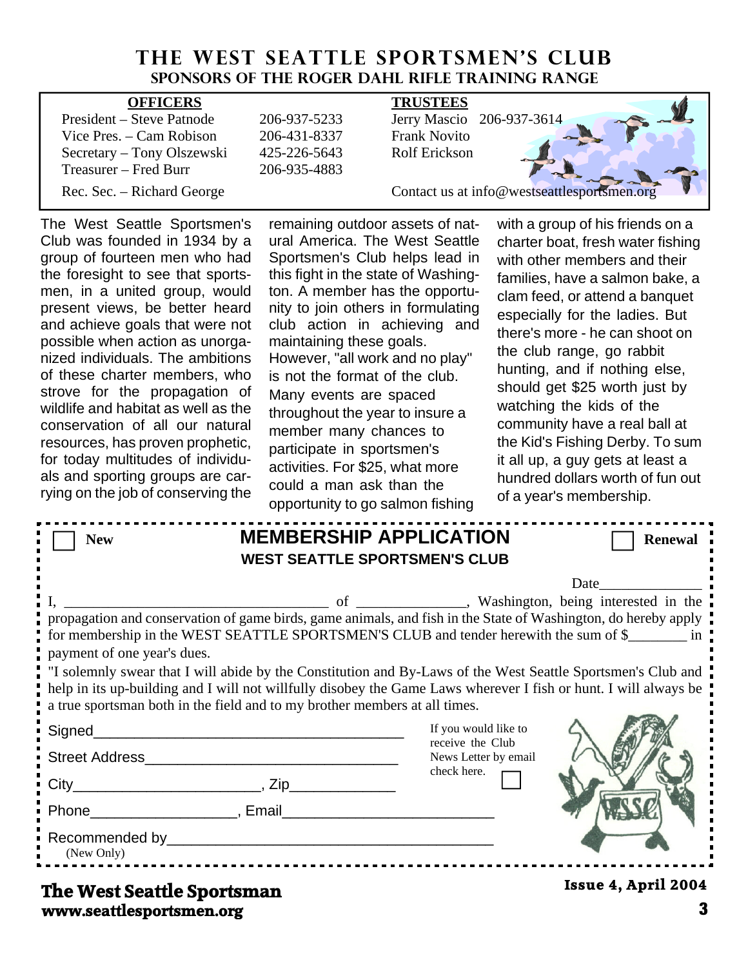### **THE WEST SEATTLE SPORTSMEN'S CLUB Sponsors of the Roger Dahl Rifle Training Range**

| <b>OFFICERS</b>            |              | <b>TRUSTEES</b>                             |  |  |
|----------------------------|--------------|---------------------------------------------|--|--|
| President – Steve Patnode  | 206-937-5233 | Jerry Mascio 206-937-3614                   |  |  |
| Vice Pres. – Cam Robison   | 206-431-8337 | <b>Frank Novito</b>                         |  |  |
| Secretary – Tony Olszewski | 425-226-5643 | <b>Rolf Erickson</b>                        |  |  |
| Treasurer – Fred Burr      | 206-935-4883 |                                             |  |  |
| Rec. Sec. – Richard George |              | Contact us at info@westseattlesportsmen.org |  |  |

The West Seattle Sportsmen's Club was founded in 1934 by a group of fourteen men who had the foresight to see that sports men, in a united group, would present views, be better heard and achieve goals that were not possible when action as unorga nized individuals. The ambitions of these charter members, who strove for the propagation of wildlife and habitat as well as the conservation of all our natural resources, has proven prophetic, for today multitudes of individu als and sporting groups are car rying on the job of conserving the

remaining outdoor assets of nat ural America. The West Seattle Sportsmen's Club helps lead in this fight in the state of Washing ton. A member has the opportu nity to join others in formulating club action in achieving and maintaining these goals. However, "all work and no play" is not the format of the club. Many events are spaced throughout the year to insure a member many chances to participate in sportsmen's activities. For \$25, what more could a man ask than the opportunity to go salmon fishing

with a group of his friends on a charter boat, fresh water fishing with other members and their families, have a salmon bake, a clam feed, or attend a banquet especially for the ladies. But there's more - he can shoot on the club range, go rabbit hunting, and if nothing else, should get \$25 worth just by watching the kids of the community have a real ball at the Kid's Fishing Derby. To sum it all up, a guy gets at least a hundred dollars worth of fun out of a year's membership.

| <b>New</b>                                                                                                    | <b>MEMBERSHIP APPLICATION</b><br><b>WEST SEATTLE SPORTSMEN'S CLUB</b> |                                                                                                                                                                                                                                                                                                                                                                                                                                                                                           | <b>Renewal</b>                                                                                                                                                                                                                |
|---------------------------------------------------------------------------------------------------------------|-----------------------------------------------------------------------|-------------------------------------------------------------------------------------------------------------------------------------------------------------------------------------------------------------------------------------------------------------------------------------------------------------------------------------------------------------------------------------------------------------------------------------------------------------------------------------------|-------------------------------------------------------------------------------------------------------------------------------------------------------------------------------------------------------------------------------|
| payment of one year's dues.<br>a true sportsman both in the field and to my brother members at all times.     |                                                                       | propagation and conservation of game birds, game animals, and fish in the State of Washington, do hereby apply<br>for membership in the WEST SEATTLE SPORTSMEN'S CLUB and tender herewith the sum of \$<br>I "I solemnly swear that I will abide by the Constitution and By-Laws of the West Seattle Sportsmen's Club and<br>help in its up-building and I will not willfully disobey the Game Laws wherever I fish or hunt. I will always be<br>If you would like to<br>receive the Club | Date and the same of the same of the same of the same of the same of the same of the same of the same of the same of the same of the same of the same of the same of the same of the same of the same of the same of the same |
| Phone Reserves and Phone Reserves and Phone Reserves and Phone Reserves and Phone Reserves and Phone Reserves |                                                                       | News Letter by email<br>check here.                                                                                                                                                                                                                                                                                                                                                                                                                                                       |                                                                                                                                                                                                                               |